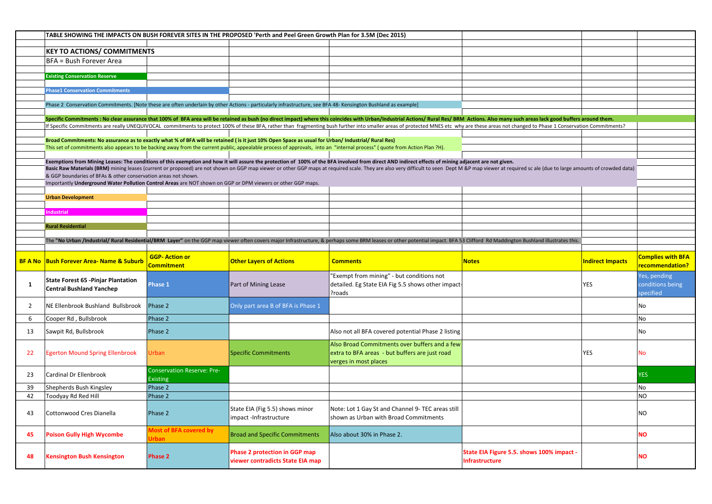|                | TABLE SHOWING THE IMPACTS ON BUSH FOREVER SITES IN THE PROPOSED 'Perth and Peel Green Growth Plan for 3.5M (Dec 2015)                                         |                                                      |                                                           |                                                                                                                                                                                                                                                                                                                                                                                                                                                                  |              |                         |                                               |
|----------------|---------------------------------------------------------------------------------------------------------------------------------------------------------------|------------------------------------------------------|-----------------------------------------------------------|------------------------------------------------------------------------------------------------------------------------------------------------------------------------------------------------------------------------------------------------------------------------------------------------------------------------------------------------------------------------------------------------------------------------------------------------------------------|--------------|-------------------------|-----------------------------------------------|
|                | <b>KEY TO ACTIONS/ COMMITMENTS</b>                                                                                                                            |                                                      |                                                           |                                                                                                                                                                                                                                                                                                                                                                                                                                                                  |              |                         |                                               |
|                | BFA = Bush Forever Area                                                                                                                                       |                                                      |                                                           |                                                                                                                                                                                                                                                                                                                                                                                                                                                                  |              |                         |                                               |
|                |                                                                                                                                                               |                                                      |                                                           |                                                                                                                                                                                                                                                                                                                                                                                                                                                                  |              |                         |                                               |
|                | <b>Existing Conservation Reserve</b>                                                                                                                          |                                                      |                                                           |                                                                                                                                                                                                                                                                                                                                                                                                                                                                  |              |                         |                                               |
|                | <b>Phase1 Conservation Commitments</b>                                                                                                                        |                                                      |                                                           |                                                                                                                                                                                                                                                                                                                                                                                                                                                                  |              |                         |                                               |
|                | Phase 2 Conservation Commitments. [Note these are often underlain by other Actions - particularly infrastructure, see BFA 48- Kensington Bushland as example] |                                                      |                                                           |                                                                                                                                                                                                                                                                                                                                                                                                                                                                  |              |                         |                                               |
|                |                                                                                                                                                               |                                                      |                                                           |                                                                                                                                                                                                                                                                                                                                                                                                                                                                  |              |                         |                                               |
|                |                                                                                                                                                               |                                                      |                                                           | Specific Commitments : No clear assurance that 100% of BFA area will be retained as bush (no direct impact) where this coincides with Urban/Industrial Actions/ Rural Res/ BRM Actions. Also many such areas lack good buffers<br>If Specific Commitments are really UNEQUIVOCAL commitments to protect 100% of these BFA, rather than fragmenting bush further into smaller areas of protected MNES etc why are these areas not changed to Phase 1 Conservation |              |                         |                                               |
|                |                                                                                                                                                               |                                                      |                                                           |                                                                                                                                                                                                                                                                                                                                                                                                                                                                  |              |                         |                                               |
|                | Broad Commitments: No assurance as to exactly what % of BFA will be retained (is it just 10% Open Space as usual for Urban/ Industrial/ Rural Res)            |                                                      |                                                           |                                                                                                                                                                                                                                                                                                                                                                                                                                                                  |              |                         |                                               |
|                |                                                                                                                                                               |                                                      |                                                           | This set of commitments also appears to be backing away from the current public, appealable process of approvals, into an "internal process" (quote from Action Plan ?H).                                                                                                                                                                                                                                                                                        |              |                         |                                               |
|                |                                                                                                                                                               |                                                      |                                                           | Exemptions from Mining Leases: The conditions of this exemption and how it will assure the protection of 100% of the BFA involved from direct AND indirect effects of mining adjacent are not given.                                                                                                                                                                                                                                                             |              |                         |                                               |
|                | & GGP boundaries of BFAs & other conservation areas not shown.                                                                                                |                                                      |                                                           | Basic Raw Materials (BRM) mining leases (current or proposed) are not shown on GGP map viewer or other GGP maps at required scale. They are also very difficult to seen Dept M &P map viewer at required scale (due to large a                                                                                                                                                                                                                                   |              |                         |                                               |
|                | Importantly Underground Water Pollution Control Areas are NOT shown on GGP or DPM viewers or other GGP maps.                                                  |                                                      |                                                           |                                                                                                                                                                                                                                                                                                                                                                                                                                                                  |              |                         |                                               |
|                | <b>Urban Development</b>                                                                                                                                      |                                                      |                                                           |                                                                                                                                                                                                                                                                                                                                                                                                                                                                  |              |                         |                                               |
|                |                                                                                                                                                               |                                                      |                                                           |                                                                                                                                                                                                                                                                                                                                                                                                                                                                  |              |                         |                                               |
|                | <b>Industrial</b>                                                                                                                                             |                                                      |                                                           |                                                                                                                                                                                                                                                                                                                                                                                                                                                                  |              |                         |                                               |
|                | <b>Rural Residential</b>                                                                                                                                      |                                                      |                                                           |                                                                                                                                                                                                                                                                                                                                                                                                                                                                  |              |                         |                                               |
|                |                                                                                                                                                               |                                                      |                                                           | The "No Urban /Industrial/ Rural Residential/BRM Layer" on the GGP map viewer often covers major Infrastructure, & perhaps some BRM leases or other potential impact. BFA 53 Clifford Rd Maddington Bushland illustrates this.                                                                                                                                                                                                                                   |              |                         |                                               |
|                |                                                                                                                                                               |                                                      |                                                           |                                                                                                                                                                                                                                                                                                                                                                                                                                                                  |              |                         |                                               |
|                |                                                                                                                                                               |                                                      |                                                           |                                                                                                                                                                                                                                                                                                                                                                                                                                                                  |              |                         |                                               |
|                | <b>BF A No Bush Forever Area- Name &amp; Suburb</b>                                                                                                           | <b>GGP-Action or</b><br>Commitment                   | <b>Other Layers of Actions</b>                            | <b>Comments</b>                                                                                                                                                                                                                                                                                                                                                                                                                                                  | <b>Notes</b> | <b>Indirect Impacts</b> | <b>Complies with BFA</b><br>recommendation?   |
| -1             | State Forest 65 - Pinjar Plantation<br><b>Central Bushland Yanchep</b>                                                                                        | Phase 1                                              | Part of Mining Lease                                      | 'Exempt from mining" - but conditions not<br>detailed. Eg State EIA Fig 5.5 shows other impact<br>Proads?                                                                                                                                                                                                                                                                                                                                                        |              | YES                     | Yes, pending<br>conditions being<br>specified |
| $\overline{2}$ | NE Ellenbrook Bushland Bullsbrook                                                                                                                             | Phase 2                                              | Only part area B of BFA is Phase 1                        |                                                                                                                                                                                                                                                                                                                                                                                                                                                                  |              |                         | No                                            |
| 6              | Cooper Rd, Bullsbrook                                                                                                                                         | Phase 2                                              |                                                           |                                                                                                                                                                                                                                                                                                                                                                                                                                                                  |              |                         | <b>No</b>                                     |
| 13             | Sawpit Rd, Bullsbrook                                                                                                                                         | Phase 2                                              |                                                           | Also not all BFA covered potential Phase 2 listing                                                                                                                                                                                                                                                                                                                                                                                                               |              |                         | No                                            |
| 22             | <b>Egerton Mound Spring Ellenbrook</b>                                                                                                                        | Urban                                                | <b>Specific Commitments</b>                               | Also Broad Commitments over buffers and a few<br>extra to BFA areas - but buffers are just road<br>verges in most places                                                                                                                                                                                                                                                                                                                                         |              | YES                     | No                                            |
| 23             | Cardinal Dr Ellenbrook                                                                                                                                        | <b>Conservation Reserve: Pre-</b><br><b>Existing</b> |                                                           |                                                                                                                                                                                                                                                                                                                                                                                                                                                                  |              |                         | <b>YES</b>                                    |
| 39             | Shepherds Bush Kingsley                                                                                                                                       | Phase 2                                              |                                                           |                                                                                                                                                                                                                                                                                                                                                                                                                                                                  |              |                         | No                                            |
| 42             | Toodyay Rd Red Hill                                                                                                                                           | Phase 2                                              |                                                           |                                                                                                                                                                                                                                                                                                                                                                                                                                                                  |              |                         | <b>NO</b>                                     |
| 43             | Cottonwood Cres Dianella                                                                                                                                      | Phase 2                                              | State EIA (Fig 5.5) shows minor<br>impact -Infrastructure | Note: Lot 1 Gay St and Channel 9- TEC areas still<br>shown as Urban with Broad Commitments                                                                                                                                                                                                                                                                                                                                                                       |              |                         | NΟ                                            |
| 45             | <b>Poison Gully High Wycombe</b>                                                                                                                              | Most of BFA covered by<br><b>Irban</b>               | <b>Broad and Specific Commitments</b>                     | Also about 30% in Phase 2.                                                                                                                                                                                                                                                                                                                                                                                                                                       |              |                         | <b>NO</b>                                     |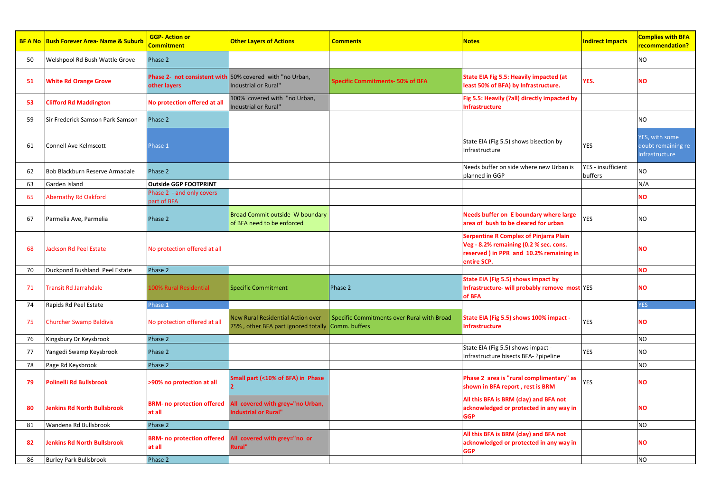|     | <b>BF A No Bush Forever Area- Name &amp; Suburb</b> | <b>GGP-Action or</b><br>Commitment          | <b>Other Layers of Actions</b>                                                   | <b>Comments</b>                                             | <b>Notes</b>                                                                                                                                       | <b>Indirect Impacts</b>       | <b>Complies with BFA</b><br>recommendation?            |
|-----|-----------------------------------------------------|---------------------------------------------|----------------------------------------------------------------------------------|-------------------------------------------------------------|----------------------------------------------------------------------------------------------------------------------------------------------------|-------------------------------|--------------------------------------------------------|
| 50  | Welshpool Rd Bush Wattle Grove                      | Phase 2                                     |                                                                                  |                                                             |                                                                                                                                                    |                               | NO.                                                    |
| 51  | <b>White Rd Orange Grove</b>                        | other layers                                | Phase 2- not consistent with 50% covered with "no Urban,<br>Industrial or Rural" | <b>Specific Commitments-50% of BFA</b>                      | State EIA Fig 5.5: Heavily impacted (at<br>least 50% of BFA) by Infrastructure.                                                                    | YES.                          | <b>NO</b>                                              |
| 53  | <b>Clifford Rd Maddington</b>                       | No protection offered at all                | 100% covered with "no Urban,<br>Industrial or Rural"                             |                                                             | Fig 5.5: Heavily (?all) directly impacted by<br><b>Infrastructure</b>                                                                              |                               |                                                        |
| 59  | Sir Frederick Samson Park Samson                    | Phase 2                                     |                                                                                  |                                                             |                                                                                                                                                    |                               | NO                                                     |
| 61  | Connell Ave Kelmscott                               | Phase 1                                     |                                                                                  |                                                             | State EIA (Fig 5.5) shows bisection by<br>Infrastructure                                                                                           | <b>YES</b>                    | YES, with some<br>doubt remaining re<br>Infrastructure |
| 62  | Bob Blackburn Reserve Armadale                      | Phase 2                                     |                                                                                  |                                                             | Needs buffer on side where new Urban is<br>planned in GGP                                                                                          | YES - insufficient<br>buffers | NO.                                                    |
| 63  | Garden Island                                       | <b>Outside GGP FOOTPRINT</b>                |                                                                                  |                                                             |                                                                                                                                                    |                               | N/A                                                    |
| 65  | <b>Abernathy Rd Oakford</b>                         | Phase 2 - and only covers<br>part of BFA    |                                                                                  |                                                             |                                                                                                                                                    |                               | <b>NO</b>                                              |
| 67  | Parmelia Ave, Parmelia                              | Phase 2                                     | Broad Commit outside W boundary<br>of BFA need to be enforced                    |                                                             | Needs buffer on E boundary where large<br>area of bush to be cleared for urban                                                                     | YES                           | NO                                                     |
| 68  | <b>Jackson Rd Peel Estate</b>                       | No protection offered at all                |                                                                                  |                                                             | <b>Serpentine R Complex of Pinjarra Plain</b><br>Veg - 8.2% remaining (0.2 % sec. cons.<br>reserved ) in PPR and 10.2% remaining in<br>entire SCP. |                               | <b>NO</b>                                              |
| 70  | Duckpond Bushland Peel Estate                       | Phase 2                                     |                                                                                  |                                                             |                                                                                                                                                    |                               | <b>NO</b>                                              |
| 71  | <b>Transit Rd Jarrahdale</b>                        | <b>LOO% Rural Residential</b>               | <b>Specific Commitment</b>                                                       | Phase 2                                                     | State EIA (Fig 5.5) shows impact by<br>Infrastructure- will probably remove most YES<br>of BFA                                                     |                               | NΟ                                                     |
| 74  | Rapids Rd Peel Estate                               | hase 1                                      |                                                                                  |                                                             |                                                                                                                                                    |                               | <b>YES</b>                                             |
| 75  | <b>Churcher Swamp Baldivis</b>                      | No protection offered at all                | <b>New Rural Residential Action over</b><br>75%, other BFA part ignored totally  | Specific Commitments over Rural with Broad<br>Comm. buffers | State EIA (Fig 5.5) shows 100% impact -<br><b>Infrastructure</b>                                                                                   | YES                           | NΟ                                                     |
| 76  | Kingsbury Dr Keysbrook                              | Phase 2                                     |                                                                                  |                                                             |                                                                                                                                                    |                               | <b>NO</b>                                              |
| 77  | Yangedi Swamp Keysbrook                             | Phase 2                                     |                                                                                  |                                                             | State EIA (Fig 5.5) shows impact -<br>Infrastructure bisects BFA- ?pipeline                                                                        | YES                           | <b>NO</b>                                              |
| 78  | Page Rd Keysbrook                                   | Phase 2                                     |                                                                                  |                                                             |                                                                                                                                                    |                               | <b>NO</b>                                              |
| 79  | <b>Polinelli Rd Bullsbrook</b>                      | >90% no protection at all                   | Small part (<10% of BFA) in Phase                                                |                                                             | Phase 2 area is "rural complimentary" as<br>shown in BFA report, rest is BRM                                                                       | YES                           | NΟ                                                     |
| -80 | Jenkins Rd North Bullsbrook                         | <b>BRM- no protection offered</b><br>at all | All covered with grey="no Urban,<br>ndustrial or Rural"                          |                                                             | All this BFA is BRM (clay) and BFA not<br>acknowledged or protected in any way in<br><b>GGP</b>                                                    |                               | <b>NO</b>                                              |
| 81  | Wandena Rd Bullsbrook                               | Phase 2                                     |                                                                                  |                                                             |                                                                                                                                                    |                               | NO                                                     |
| 82  | <b>Jenkins Rd North Bullsbrook</b>                  | <b>BRM- no protection offered</b><br>at all | All covered with grey="no or<br>Rural"                                           |                                                             | All this BFA is BRM (clay) and BFA not<br>acknowledged or protected in any way in<br><b>GGP</b>                                                    |                               | ΝO                                                     |
| 86  | <b>Burley Park Bullsbrook</b>                       | Phase 2                                     |                                                                                  |                                                             |                                                                                                                                                    |                               | <b>NO</b>                                              |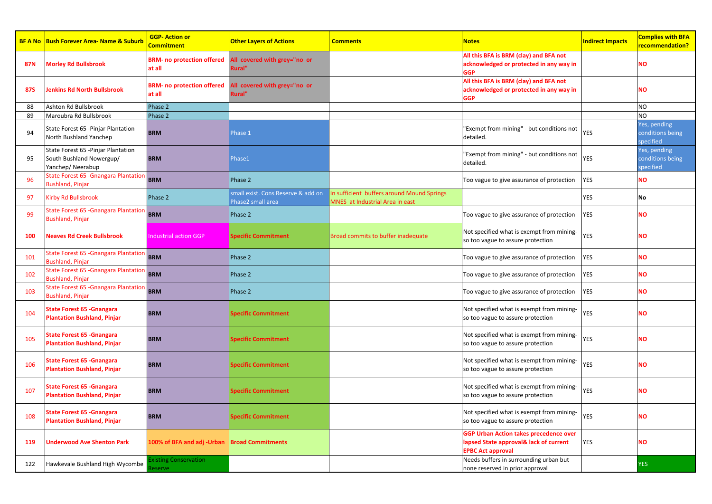|            | <b>BF A No Bush Forever Area-Name &amp; Suburb</b>                                  | <b>GGP-Action or</b><br>Commitment             | <b>Other Layers of Actions</b>                          | <b>Comments</b>                                                               | <b>Notes</b>                                                                                                        | <b>Indirect Impacts</b> | <b>Complies with BFA</b><br>recommendation?   |
|------------|-------------------------------------------------------------------------------------|------------------------------------------------|---------------------------------------------------------|-------------------------------------------------------------------------------|---------------------------------------------------------------------------------------------------------------------|-------------------------|-----------------------------------------------|
| <b>87N</b> | <b>Morley Rd Bullsbrook</b>                                                         | <b>BRM- no protection offered</b><br>at all    | All covered with grey="no or<br>Rural"                  |                                                                               | All this BFA is BRM (clay) and BFA not<br>acknowledged or protected in any way in<br><b>GGP</b>                     |                         | NΟ                                            |
| <b>87S</b> | <b>Jenkins Rd North Bullsbrook</b>                                                  | <b>BRM-no protection offered</b><br>at all     | All covered with grey="no or<br>Rural"                  |                                                                               | All this BFA is BRM (clay) and BFA not<br>acknowledged or protected in any way in<br><b>GGP</b>                     |                         | NΟ                                            |
| 88         | Ashton Rd Bullsbrook                                                                | Phase 2                                        |                                                         |                                                                               |                                                                                                                     |                         | NO.                                           |
| 89         | Maroubra Rd Bullsbrook                                                              | Phase 2                                        |                                                         |                                                                               |                                                                                                                     |                         | NO.                                           |
| 94         | State Forest 65 - Pinjar Plantation<br>North Bushland Yanchep                       | <b>BRM</b>                                     | Phase 1                                                 |                                                                               | 'Exempt from mining" - but conditions not<br>detailed.                                                              | <b>YES</b>              | Yes, pending<br>conditions being<br>specified |
| 95         | State Forest 65 - Pinjar Plantation<br>South Bushland Nowergup/<br>Yanchep/Neerabup | <b>BRM</b>                                     | Phase1                                                  |                                                                               | "Exempt from mining" - but conditions not<br>detailed.                                                              | <b>YES</b>              | Yes, pending<br>conditions being<br>specified |
| 96         | State Forest 65 -Gnangara Plantatior<br><b>Bushland, Pinjar</b>                     | <b>BRM</b>                                     | Phase 2                                                 |                                                                               | Too vague to give assurance of protection                                                                           | <b>YES</b>              | NΟ                                            |
| -97        | <b>Kirby Rd Bullsbrook</b>                                                          | Phase 2                                        | small exist. Cons Reserve & add on<br>Phase2 small area | In sufficient buffers around Mound Springs<br>MNES at Industrial Area in east |                                                                                                                     | <b>YES</b>              | No                                            |
| 99         | <b>State Forest 65 - Gnangara Plantation</b><br><b>Bushland, Pinjar</b>             | <b>BRM</b>                                     | Phase 2                                                 |                                                                               | Too vague to give assurance of protection                                                                           | <b>YES</b>              | NΟ                                            |
| 100        | <b>Neaves Rd Creek Bullsbrook</b>                                                   | <b>Industrial action GGP</b>                   | <b>Specific Commitment</b>                              | Broad commits to buffer inadequate                                            | Not specified what is exempt from mining-<br>so too vague to assure protection                                      | YES                     | NΟ                                            |
| 101        | State Forest 65 - Gnangara Plantation<br>Bushland, Pinjar                           | <b>BRM</b>                                     | Phase 2                                                 |                                                                               | Too vague to give assurance of protection                                                                           | <b>YES</b>              | NΟ                                            |
| 102        | <b>State Forest 65 - Gnangara Plantation</b><br>Bushland, Pinjar                    | <b>BRM</b>                                     | Phase 2                                                 |                                                                               | Too vague to give assurance of protection                                                                           | <b>YES</b>              | NΟ                                            |
| 103        | State Forest 65 - Gnangara Plantatior<br><b>Bushland, Pinjar</b>                    | <b>BRM</b>                                     | Phase 2                                                 |                                                                               | Too vague to give assurance of protection                                                                           | <b>YES</b>              | NΟ                                            |
| 104        | State Forest 65 - Gnangara<br><b>Plantation Bushland, Pinjar</b>                    | <b>BRM</b>                                     | Specific Commitment                                     |                                                                               | Not specified what is exempt from mining-<br>so too vague to assure protection                                      | YES                     | NΟ                                            |
| 105        | <b>State Forest 65 - Gnangara</b><br><b>Plantation Bushland, Pinjar</b>             | <b>BRM</b>                                     | Specific Commitment                                     |                                                                               | Not specified what is exempt from mining-<br>so too vague to assure protection                                      | <b>YES</b>              | NΟ                                            |
| 106        | State Forest 65 - Gnangara<br><b>Plantation Bushland, Pinjar</b>                    | <b>BRM</b>                                     | <b>Specific Commitment</b>                              |                                                                               | Not specified what is exempt from mining-<br>so too vague to assure protection                                      | YES                     | NΟ                                            |
| 107        | <b>State Forest 65 - Gnangara</b><br><b>Plantation Bushland, Pinjar</b>             | <b>BRM</b>                                     | <b>Specific Commitment</b>                              |                                                                               | Not specified what is exempt from mining-<br>so too vague to assure protection                                      | YES                     | NΟ                                            |
| 108        | <b>State Forest 65 - Gnangara</b><br><b>Plantation Bushland, Pinjar</b>             | <b>BRM</b>                                     | <b>Specific Commitment</b>                              |                                                                               | Not specified what is exempt from mining-<br>so too vague to assure protection                                      | <b>YES</b>              | <b>NO</b>                                     |
| 119        | <b>Underwood Ave Shenton Park</b>                                                   | 100% of BFA and adj -Urban                     | <b>Broad Commitments</b>                                |                                                                               | <b>GGP Urban Action takes precedence over</b><br>lapsed State approval& lack of current<br><b>EPBC Act approval</b> | <b>YES</b>              | NΟ                                            |
| 122        | Hawkevale Bushland High Wycombe                                                     | <b>Existing Conservation</b><br><b>Reserve</b> |                                                         |                                                                               | Needs buffers in surrounding urban but<br>none reserved in prior approval                                           |                         | <b>YES</b>                                    |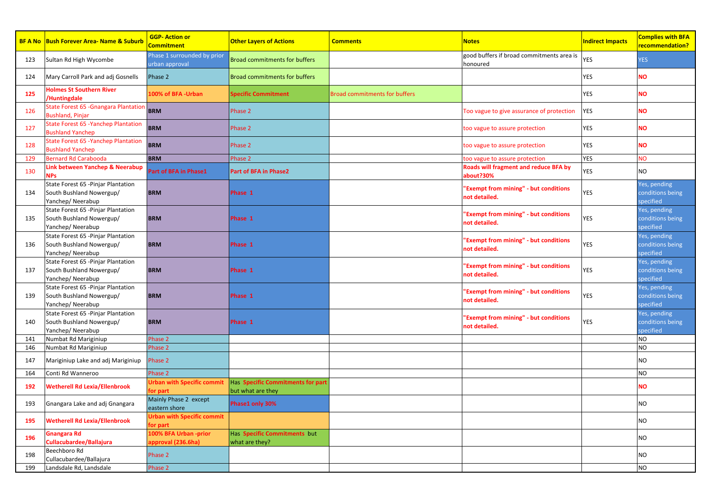|     | <b>BF A No Bush Forever Area-Name &amp; Suburb</b>                                  | <b>GGP-Action or</b><br><b>Commitment</b>     | <b>Other Layers of Actions</b>                         | <b>Comments</b>                      | <b>Notes</b>                                              | <b>Indirect Impacts</b> | <b>Complies with BFA</b><br>recommendation?   |
|-----|-------------------------------------------------------------------------------------|-----------------------------------------------|--------------------------------------------------------|--------------------------------------|-----------------------------------------------------------|-------------------------|-----------------------------------------------|
| 123 | Sultan Rd High Wycombe                                                              | Phase 1 surrounded by prior<br>urban approval | <b>Broad commitments for buffers</b>                   |                                      | good buffers if broad commitments area is<br>honoured     | <b>YES</b>              | <b>YES</b>                                    |
| 124 | Mary Carroll Park and adj Gosnells                                                  | Phase 2                                       | <b>Broad commitments for buffers</b>                   |                                      |                                                           | <b>YES</b>              | NΟ                                            |
| 125 | <b>Holmes St Southern River</b><br>Huntingdale                                      | <b>LOO% of BFA -Urban</b>                     | <b>Specific Commitment</b>                             | <b>Broad commitments for buffers</b> |                                                           | <b>YES</b>              | <b>NO</b>                                     |
| 126 | State Forest 65 - Gnangara Plantatior<br>Bushland, Pinjar                           | <b>BRM</b>                                    | Phase 2                                                |                                      | Too vague to give assurance of protection                 | <b>YES</b>              | NΟ                                            |
| 127 | State Forest 65 - Yanchep Plantation<br><b>Bushland Yanchep</b>                     | <b>BRM</b>                                    | Phase 2                                                |                                      | too vague to assure protection                            | <b>YES</b>              | NΟ                                            |
| 128 | State Forest 65 - Yanchep Plantation<br><b>Bushland Yanchep</b>                     | <b>BRM</b>                                    | Phase 2                                                |                                      | too vague to assure protection                            | <b>YES</b>              | NΟ                                            |
| 129 | Bernard Rd Carabooda                                                                | <b>BRM</b>                                    | Phase 2                                                |                                      | too vague to assure protection                            | <b>YES</b>              | <b>NO</b>                                     |
| 130 | Link between Yanchep & Neerabup<br><b>NPs</b>                                       | Part of BFA in Phase1                         | Part of BFA in Phase2                                  |                                      | <b>Roads will fragment and reduce BFA by</b><br>about?30% | <b>YES</b>              | NO                                            |
| 134 | State Forest 65 - Pinjar Plantation<br>South Bushland Nowergup/<br>Yanchep/Neerabup | <b>BRM</b>                                    | Phase 1                                                |                                      | 'Exempt from mining" - but conditions<br>not detailed.    | <b>YES</b>              | Yes, pending<br>conditions being<br>specified |
| 135 | State Forest 65 - Pinjar Plantation<br>South Bushland Nowergup/<br>Yanchep/Neerabup | <b>BRM</b>                                    | Phase 1                                                |                                      | 'Exempt from mining" - but conditions<br>not detailed.    | <b>YES</b>              | Yes, pending<br>conditions being<br>specified |
| 136 | State Forest 65 - Pinjar Plantation<br>South Bushland Nowergup/<br>Yanchep/Neerabup | <b>BRM</b>                                    | Phase 1                                                |                                      | 'Exempt from mining" - but conditions<br>not detailed.    | <b>YES</b>              | es, pending<br>conditions being<br>specified  |
| 137 | State Forest 65 - Pinjar Plantation<br>South Bushland Nowergup/<br>Yanchep/Neerabup | <b>BRM</b>                                    | Phase 1                                                |                                      | 'Exempt from mining" - but conditions<br>not detailed.    | <b>YES</b>              | Yes, pending<br>conditions being<br>specified |
| 139 | State Forest 65 - Pinjar Plantation<br>South Bushland Nowergup/<br>Yanchep/Neerabup | <b>BRM</b>                                    | Phase 1                                                |                                      | 'Exempt from mining" - but conditions<br>not detailed.    | <b>YES</b>              | Yes, pending<br>conditions being<br>specified |
| 140 | State Forest 65 - Pinjar Plantation<br>South Bushland Nowergup/<br>Yanchep/Neerabup | <b>BRM</b>                                    | Phase 1                                                |                                      | 'Exempt from mining" - but conditions<br>not detailed.    | <b>YES</b>              | Yes, pending<br>conditions being<br>specified |
| 141 | Numbat Rd Mariginiup                                                                | Phase 2                                       |                                                        |                                      |                                                           |                         | NO.                                           |
| 146 | Numbat Rd Mariginiup                                                                | Phase 2                                       |                                                        |                                      |                                                           |                         | NO                                            |
| 147 | Mariginiup Lake and adj Mariginiup                                                  | Phase 2                                       |                                                        |                                      |                                                           |                         | NO                                            |
| 164 | Conti Rd Wanneroo                                                                   | Phase 2                                       |                                                        |                                      |                                                           |                         | NO.                                           |
| 192 | <b>Wetherell Rd Lexia/Ellenbrook</b>                                                | <b>Urban with Specific commit</b><br>or part  | Has Specific Commitments for part<br>but what are they |                                      |                                                           |                         | NΟ                                            |
| 193 | Gnangara Lake and adj Gnangara                                                      | Mainly Phase 2 except<br>eastern shore        | Phase1 only 30%                                        |                                      |                                                           |                         | NO                                            |
| 195 | <b>Netherell Rd Lexia/Ellenbrook</b>                                                | <b>Jrban with Specific commit</b><br>or part  |                                                        |                                      |                                                           |                         | NO.                                           |
| 196 | <b>Gnangara Rd</b><br>Cullacubardee/Ballajura                                       | 100% BFA Urban -prior<br>pproval (236.6ha)    | Has Specific Commitments but<br>what are they?         |                                      |                                                           |                         | NO.                                           |
| 198 | Beechboro Rd<br>Cullacubardee/Ballajura                                             | Phase 2                                       |                                                        |                                      |                                                           |                         | NO.                                           |
| 199 | Landsdale Rd, Landsdale                                                             | Phase 2                                       |                                                        |                                      |                                                           |                         | NO.                                           |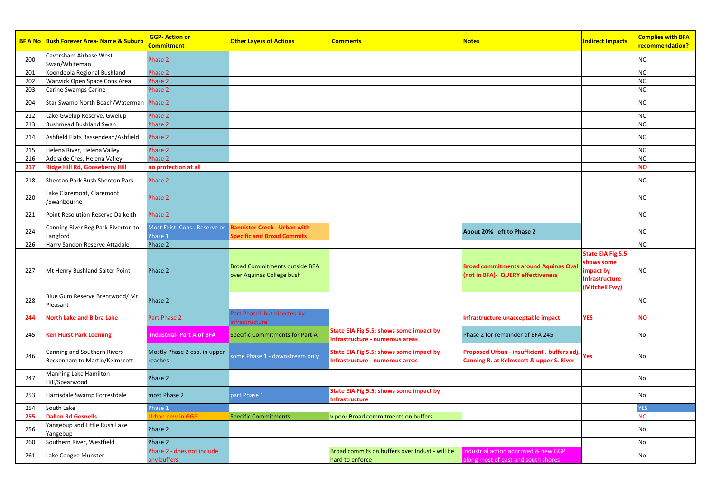|     | <b>BF A No Bush Forever Area- Name &amp; Suburb</b>          | <b>GGP-Action or</b><br>Commitment        | <b>Other Layers of Actions</b>                                    | <b>Comments</b>                                                            | <b>Notes</b>                                                                             | <b>Indirect Impacts</b>                                                                | <b>Complies with BFA</b><br>recommendation? |
|-----|--------------------------------------------------------------|-------------------------------------------|-------------------------------------------------------------------|----------------------------------------------------------------------------|------------------------------------------------------------------------------------------|----------------------------------------------------------------------------------------|---------------------------------------------|
| 200 | Caversham Airbase West<br>Swan/Whiteman                      | Phase 2                                   |                                                                   |                                                                            |                                                                                          |                                                                                        | <b>NO</b>                                   |
| 201 | Koondoola Regional Bushland                                  | Phase 2                                   |                                                                   |                                                                            |                                                                                          |                                                                                        | <b>NO</b>                                   |
| 202 | Warwick Open Space Cons Area                                 | Phase 2                                   |                                                                   |                                                                            |                                                                                          |                                                                                        | <b>NO</b>                                   |
| 203 | Carine Swamps Carine                                         | Phase 2                                   |                                                                   |                                                                            |                                                                                          |                                                                                        | <b>NO</b>                                   |
| 204 | Star Swamp North Beach/Waterman Phase 2                      |                                           |                                                                   |                                                                            |                                                                                          |                                                                                        | <b>NO</b>                                   |
| 212 | Lake Gwelup Reserve, Gwelup                                  | Phase 2                                   |                                                                   |                                                                            |                                                                                          |                                                                                        | <b>NO</b>                                   |
| 213 | <b>Bushmead Bushland Swan</b>                                | Phase 2                                   |                                                                   |                                                                            |                                                                                          |                                                                                        | <b>NO</b>                                   |
| 214 | Ashfield Flats Bassendean/Ashfield                           | Phase 2                                   |                                                                   |                                                                            |                                                                                          |                                                                                        | <b>NO</b>                                   |
| 215 | Helena River, Helena Valley                                  | Phase 2                                   |                                                                   |                                                                            |                                                                                          |                                                                                        | <b>NO</b>                                   |
| 216 | Adelaide Cres, Helena Valley                                 | Phase 2                                   |                                                                   |                                                                            |                                                                                          |                                                                                        | <b>NO</b>                                   |
| 217 | Ridge Hill Rd, Gooseberry Hill                               | no protection at all                      |                                                                   |                                                                            |                                                                                          |                                                                                        | <b>NO</b>                                   |
| 218 | Shenton Park Bush Shenton Park                               | Phase 2                                   |                                                                   |                                                                            |                                                                                          |                                                                                        | <b>NO</b>                                   |
| 220 | Lake Claremont, Claremont<br>/Swanbourne                     | Phase 2                                   |                                                                   |                                                                            |                                                                                          |                                                                                        | N <sub>O</sub>                              |
| 221 | Point Resolution Reserve Dalkeith                            | Phase 2                                   |                                                                   |                                                                            |                                                                                          |                                                                                        | <b>NO</b>                                   |
| 224 | Canning River Reg Park Riverton to<br>Langford               | Most Exist. Cons Reserve or<br>Phase 1    | Bannister Creek -Urban with<br><b>Specific and Broad Commits</b>  |                                                                            | About 20% left to Phase 2                                                                |                                                                                        | N <sub>O</sub>                              |
| 226 | Harry Sandon Reserve Attadale                                | Phase 2                                   |                                                                   |                                                                            |                                                                                          |                                                                                        | <b>NO</b>                                   |
| 227 | Mt Henry Bushland Salter Point                               | Phase 2                                   | <b>Broad Commitments outside BFA</b><br>over Aquinas College bush |                                                                            | <b>Broad commitments around Aquinas Oval</b><br>(not in BFA)- QUERY effectiveness        | State EIA Fig 5.5:<br>hows some<br>mpact by<br><b>Infrastructure</b><br>(Mitchell Fwy) | <b>NO</b>                                   |
| 228 | Blue Gum Reserve Brentwood/Mt<br>Pleasant                    | Phase 2                                   |                                                                   |                                                                            |                                                                                          |                                                                                        | <b>NO</b>                                   |
| 244 | <b>North Lake and Bibra Lake</b>                             | Part Phase 2                              | Part Phase1 but bisected by<br>infrastructure                     |                                                                            | Infrastructure unacceptable impact                                                       | <b>YES</b>                                                                             | <b>NO</b>                                   |
| 245 | <b>Ken Hurst Park Leeming</b>                                | <b>Industrial- Part A of BFA</b>          | <b>Specific Commitments for Part A</b>                            | State EIA Fig 5.5: shows some impact by<br>Infrastructure - numerous areas | Phase 2 for remainder of BFA 245                                                         |                                                                                        | No                                          |
| 246 | Canning and Southern Rivers<br>Beckenham to Martin/Kelmscott | Mostly Phase 2 esp. in upper<br>reaches   | some Phase 1 - downstream only                                    | State EIA Fig 5.5: shows some impact by<br>nfrastructure - numerous areas  | Proposed Urban - insufficient . buffers adj.<br>Canning R. at Kelmscott & upper S. River | Yes                                                                                    | No                                          |
| 247 | Manning Lake Hamilton<br>Hill/Spearwood                      | Phase 2                                   |                                                                   |                                                                            |                                                                                          |                                                                                        | No                                          |
| 253 | Harrisdale Swamp Forrestdale                                 | most Phase 2                              | part Phase 1                                                      | State EIA Fig 5.5: shows some impact by<br>nfrastructure                   |                                                                                          |                                                                                        | No                                          |
| 254 | South Lake                                                   | Phase 1                                   |                                                                   |                                                                            |                                                                                          |                                                                                        | <b>YES</b>                                  |
| 255 | <b>Dallen Rd Gosnells</b>                                    | <b>Irban new in GGP</b>                   | <b>Specific Commitments</b>                                       | v poor Broad commitments on buffers                                        |                                                                                          |                                                                                        | <b>NO</b>                                   |
| 256 | Yangebup and Little Rush Lake<br>Yangebup                    | Phase 2                                   |                                                                   |                                                                            |                                                                                          |                                                                                        | No                                          |
| 260 | Southern River, Westfield                                    | Phase 2                                   |                                                                   |                                                                            |                                                                                          |                                                                                        | No                                          |
| 261 | Lake Coogee Munster                                          | Phase 2 - does not include<br>any buffers |                                                                   | Broad commits on buffers over Indust - will be<br>hard to enforce          | Industrial action approved & new GGP<br>along most of east and south shores              |                                                                                        | No                                          |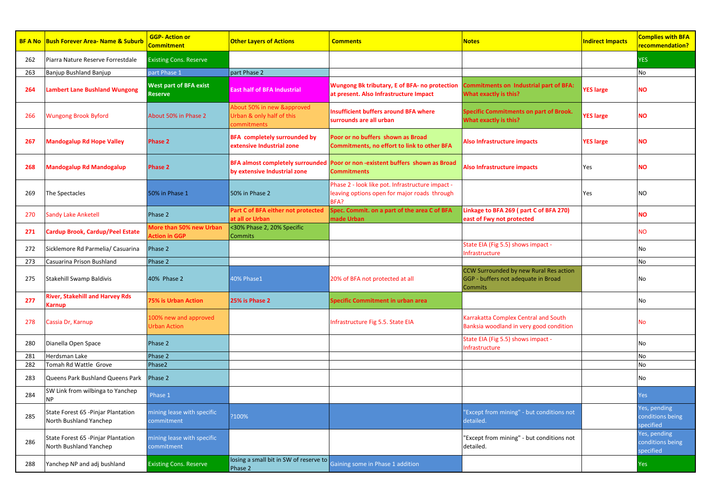|     | <b>BF A No Bush Forever Area- Name &amp; Suburb</b>           | <b>GGP-Action or</b><br>Commitment              | <b>Other Layers of Actions</b>                                         | <b>Comments</b>                                                                                          | <b>Notes</b>                                                                                    | <b>Indirect Impacts</b> | <b>Complies with BFA</b><br>recommendation?   |
|-----|---------------------------------------------------------------|-------------------------------------------------|------------------------------------------------------------------------|----------------------------------------------------------------------------------------------------------|-------------------------------------------------------------------------------------------------|-------------------------|-----------------------------------------------|
| 262 | Piarra Nature Reserve Forrestdale                             | <b>Existing Cons. Reserve</b>                   |                                                                        |                                                                                                          |                                                                                                 |                         | <b>YES</b>                                    |
| 263 | Banjup Bushland Banjup                                        | part Phase 1                                    | part Phase 2                                                           |                                                                                                          |                                                                                                 |                         | No                                            |
| 264 | Lambert Lane Bushland Wungong                                 | <b>West part of BFA exist</b><br><b>Reserve</b> | <b>East half of BFA Industrial</b>                                     | Wungong Bk tributary, E of BFA- no protection<br>at present. Also Infrastructure Impact                  | <b>Commitments on Industrial part of BFA:</b><br>What exactly is this?                          | <b>YES large</b>        | <b>NO</b>                                     |
| 266 | <b>Wungong Brook Byford</b>                                   | About 50% in Phase 2                            | About 50% in new &approved<br>Urban & only half of this<br>commitments | <b>Insufficient buffers around BFA where</b><br>surrounds are all urban                                  | Specific Commitments on part of Brook.<br>What exactly is this?                                 | <b>YES large</b>        | <b>NO</b>                                     |
| 267 | <b>Mandogalup Rd Hope Valley</b>                              | <b>Phase 2</b>                                  | <b>BFA</b> completely surrounded by<br>extensive Industrial zone       | Poor or no buffers shown as Broad<br>Commitments, no effort to link to other BFA                         | Also Infrastructure impacts                                                                     | <b>YES large</b>        | <b>NO</b>                                     |
| 268 | <b>Mandogalup Rd Mandogalup</b>                               | <b>Phase 2</b>                                  | by extensive Industrial zone                                           | BFA almost completely surrounded Poor or non-existent buffers shown as Broad<br><b>Commitments</b>       | Also Infrastructure impacts                                                                     | Yes                     | <b>NO</b>                                     |
| 269 | The Spectacles                                                | 50% in Phase 1                                  | 50% in Phase 2                                                         | Phase 2 - look like pot. Infrastructure impact -<br>leaving options open for major roads through<br>BFA? |                                                                                                 | Yes                     | <b>NO</b>                                     |
| 270 | <b>Sandy Lake Anketell</b>                                    | Phase 2                                         | Part C of BFA either not protected<br>at all or Urban                  | Spec. Commit. on a part of the area C of BFA<br>made Urban                                               | Linkage to BFA 269 (part C of BFA 270)<br>east of Fwy not protected                             |                         | <b>NO</b>                                     |
| 271 | Cardup Brook, Cardup/Peel Estate                              | More than 50% new Urban<br><b>Ction in GGP</b>  | <30% Phase 2, 20% Specific<br><b>Commits</b>                           |                                                                                                          |                                                                                                 |                         | <b>NO</b>                                     |
| 272 | Sicklemore Rd Parmelia/ Casuarina                             | Phase 2                                         |                                                                        |                                                                                                          | State EIA (Fig 5.5) shows impact -<br>nfrastructure                                             |                         | No                                            |
| 273 | Casuarina Prison Bushland                                     | Phase 2                                         |                                                                        |                                                                                                          |                                                                                                 |                         | No                                            |
| 275 | Stakehill Swamp Baldivis                                      | 40% Phase 2                                     | 40% Phase1                                                             | 20% of BFA not protected at all                                                                          | CCW Surrounded by new Rural Res action<br>GGP - buffers not adequate in Broad<br><b>Commits</b> |                         | No                                            |
| 277 | River, Stakehill and Harvey Rds<br>Karnup                     | <b>75% is Urban Action</b>                      | 25% is Phase 2                                                         | Specific Commitment in urban area                                                                        |                                                                                                 |                         | No                                            |
| 278 | Cassia Dr, Karnup                                             | 100% new and approved<br><b>Urban Action</b>    |                                                                        | Infrastructure Fig 5.5. State EIA                                                                        | Karrakatta Complex Central and South<br>Banksia woodland in very good condition                 |                         | No                                            |
| 280 | Dianella Open Space                                           | Phase 2                                         |                                                                        |                                                                                                          | State EIA (Fig 5.5) shows impact -<br>nfrastructure                                             |                         | No                                            |
| 281 | Herdsman Lake                                                 | Phase 2                                         |                                                                        |                                                                                                          |                                                                                                 |                         | No                                            |
| 282 | Tomah Rd Wattle Grove                                         | Phase2                                          |                                                                        |                                                                                                          |                                                                                                 |                         | No                                            |
| 283 | Queens Park Bushland Queens Park                              | Phase 2                                         |                                                                        |                                                                                                          |                                                                                                 |                         | No                                            |
| 284 | SW Link from wilbinga to Yanchep<br>NΡ                        | Phase 1                                         |                                                                        |                                                                                                          |                                                                                                 |                         | Yes                                           |
| 285 | State Forest 65 - Pinjar Plantation<br>North Bushland Yanchep | mining lease with specific<br>commitment        | ?100%                                                                  |                                                                                                          | "Except from mining" - but conditions not<br>detailed.                                          |                         | Yes, pending<br>conditions being<br>specified |
| 286 | State Forest 65 - Pinjar Plantation<br>North Bushland Yanchep | mining lease with specific<br>commitment        |                                                                        |                                                                                                          | 'Except from mining" - but conditions not<br>detailed.                                          |                         | Yes, pending<br>conditions being<br>pecified  |
| 288 | Yanchep NP and adj bushland                                   | <b>Existing Cons. Reserve</b>                   | losing a small bit in SW of reserve to<br>Phase 2                      | Gaining some in Phase 1 addition                                                                         |                                                                                                 |                         | Yes                                           |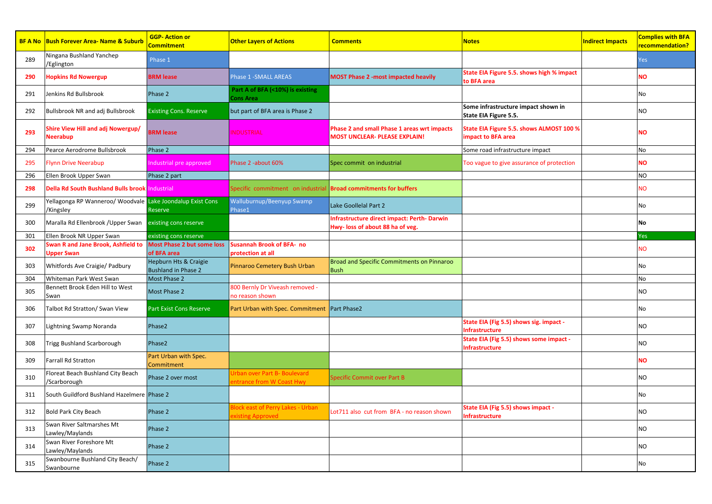|     | <b>BF A No Bush Forever Area- Name &amp; Suburb</b>                     | <b>GGP-Action or</b><br>Commitment                  | <b>Other Layers of Actions</b>                                  | <b>Comments</b>                                                                        | <b>Notes</b>                                                   | <b>Indirect Impacts</b> | <b>Complies with BFA</b><br>recommendation? |
|-----|-------------------------------------------------------------------------|-----------------------------------------------------|-----------------------------------------------------------------|----------------------------------------------------------------------------------------|----------------------------------------------------------------|-------------------------|---------------------------------------------|
| 289 | Ningana Bushland Yanchep<br>/Eglington                                  | Phase 1                                             |                                                                 |                                                                                        |                                                                |                         | Yes                                         |
| 290 | <b>Hopkins Rd Nowergup</b>                                              | <b>BRM lease</b>                                    | Phase 1 - SMALL AREAS                                           | <b>MOST Phase 2 -most impacted heavily</b>                                             | State EIA Figure 5.5. shows high % impact<br>to BFA area       |                         | NΟ                                          |
| 291 | Jenkins Rd Bullsbrook                                                   | Phase 2                                             | Part A of BFA (<10%) is existing<br>Cons Area                   |                                                                                        |                                                                |                         | No                                          |
| 292 | Bullsbrook NR and adj Bullsbrook                                        | <b>Existing Cons. Reserve</b>                       | but part of BFA area is Phase 2                                 |                                                                                        | Some infrastructure impact shown in<br>State EIA Figure 5.5.   |                         | NO                                          |
| 293 | Shire View Hill and adj Nowergup/<br>Neerabup                           | <b>BRM</b> lease                                    | <b>INDUSTRIAL</b>                                               | Phase 2 and small Phase 1 areas wrt impacts<br><b>MOST UNCLEAR- PLEASE EXPLAIN!</b>    | State EIA Figure 5.5. shows ALMOST 100 %<br>impact to BFA area |                         | <b>NO</b>                                   |
| 294 | Pearce Aerodrome Bullsbrook                                             | Phase 2                                             |                                                                 |                                                                                        | Some road infrastructure impact                                |                         | No                                          |
| 295 | <b>Flynn Drive Neerabup</b>                                             | ndustrial pre approved                              | Phase 2 -about 60%                                              | Spec commit on industrial                                                              | Too vague to give assurance of protection                      |                         | <b>NO</b>                                   |
| 296 | Ellen Brook Upper Swan                                                  | Phase 2 part                                        |                                                                 |                                                                                        |                                                                |                         | <b>NO</b>                                   |
| 298 | Della Rd South Bushland Bulls brook Industrial                          |                                                     | Specific commitment on industrial                               | <b>Broad commitments for buffers</b>                                                   |                                                                |                         | <b>NO</b>                                   |
| 299 | Yellagonga RP Wanneroo/ Woodvale Lake Joondalup Exist Cons<br>/Kingsley | Reserve                                             | Walluburnup/Beenyup Swamp<br>Phase1                             | Lake Goollelal Part 2                                                                  |                                                                |                         | No                                          |
| 300 | Maralla Rd Ellenbrook / Upper Swan existing cons reserve                |                                                     |                                                                 | <b>Infrastructure direct impact: Perth- Darwin</b><br>Hwy- loss of about 88 ha of veg. |                                                                |                         | No                                          |
| 301 | Ellen Brook NR Upper Swan                                               | existing cons reserve                               |                                                                 |                                                                                        |                                                                |                         | Yes                                         |
| 302 | Swan R and Jane Brook, Ashfield to<br><b>Jpper Swan</b>                 | <b>Most Phase 2 but some loss</b><br>of BFA area    | <b>Susannah Brook of BFA- no</b><br>protection at all           |                                                                                        |                                                                |                         | <b>NO</b>                                   |
| 303 | Whitfords Ave Craigie/ Padbury                                          | Hepburn Hts & Craigie<br><b>Bushland in Phase 2</b> | Pinnaroo Cemetery Bush Urban                                    | <b>Broad and Specific Commitments on Pinnaroo</b><br><b>Bush</b>                       |                                                                |                         | No                                          |
| 304 | Whiteman Park West Swan                                                 | Most Phase 2                                        |                                                                 |                                                                                        |                                                                |                         | No                                          |
| 305 | Bennett Brook Eden Hill to West<br>Swan                                 | Most Phase 2                                        | 800 Bernly Dr Viveash removed -<br>no reason shown              |                                                                                        |                                                                |                         | NO                                          |
| 306 | Talbot Rd Stratton/ Swan View                                           | <b>Part Exist Cons Reserve</b>                      | Part Urban with Spec. Commitment Part Phase2                    |                                                                                        |                                                                |                         | No                                          |
| 307 | Lightning Swamp Noranda                                                 | Phase2                                              |                                                                 |                                                                                        | State EIA (Fig 5.5) shows sig. impact -<br>nfrastructure       |                         | NO                                          |
| 308 | Trigg Bushland Scarborough                                              | Phase2                                              |                                                                 |                                                                                        | State EIA (Fig 5.5) shows some impact -<br>nfrastructure       |                         | NO                                          |
| 309 | <b>Farrall Rd Stratton</b>                                              | Part Urban with Spec.<br>Commitment                 |                                                                 |                                                                                        |                                                                |                         | <b>NO</b>                                   |
| 310 | Floreat Beach Bushland City Beach<br>/Scarborough                       | Phase 2 over most                                   | <b>Irban over Part B- Boulevard</b><br>ntrance from W Coast Hwy | <b>Specific Commit over Part B</b>                                                     |                                                                |                         | NO                                          |
| 311 | South Guildford Bushland Hazelmere Phase 2                              |                                                     |                                                                 |                                                                                        |                                                                |                         | No                                          |
| 312 | Bold Park City Beach                                                    | Phase 2                                             | Jock east of Perry Lakes - Urban<br>xisting Approved            | Lot711 also cut from BFA - no reason shown                                             | State EIA (Fig 5.5) shows impact -<br>nfrastructure            |                         | NO                                          |
| 313 | Swan River Saltmarshes Mt<br>Lawley/Maylands                            | Phase 2                                             |                                                                 |                                                                                        |                                                                |                         | NO                                          |
| 314 | Swan River Foreshore Mt<br>Lawley/Maylands                              | Phase 2                                             |                                                                 |                                                                                        |                                                                |                         | <b>NO</b>                                   |
| 315 | Swanbourne Bushland City Beach/<br>Swanbourne                           | Phase 2                                             |                                                                 |                                                                                        |                                                                |                         | No                                          |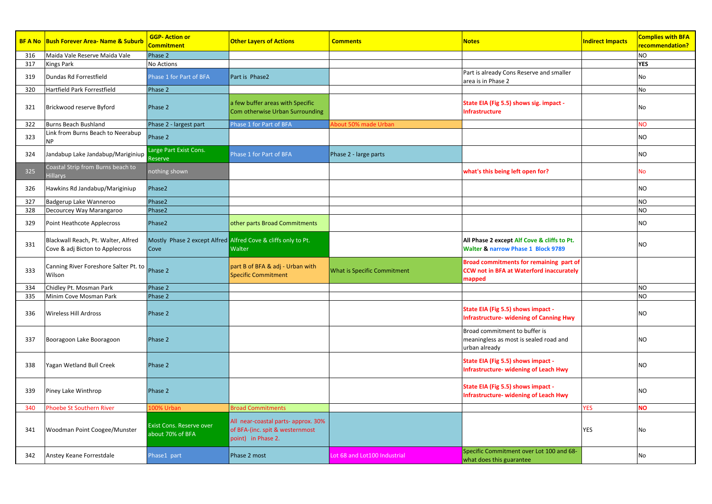|     | <b>BF A No Bush Forever Area- Name &amp; Suburb</b>                    | <b>GGP-Action or</b><br>Commitment                  | <b>Other Layers of Actions</b>                                                               | <b>Comments</b>                    | <b>Notes</b>                                                                                         | <b>Indirect Impacts</b> | <b>Complies with BFA</b><br>recommendation? |
|-----|------------------------------------------------------------------------|-----------------------------------------------------|----------------------------------------------------------------------------------------------|------------------------------------|------------------------------------------------------------------------------------------------------|-------------------------|---------------------------------------------|
| 316 | Maida Vale Reserve Maida Vale                                          | Phase 2                                             |                                                                                              |                                    |                                                                                                      |                         | <b>NO</b>                                   |
| 317 | <b>Kings Park</b>                                                      | No Actions                                          |                                                                                              |                                    |                                                                                                      |                         | <b>YES</b>                                  |
| 319 | Dundas Rd Forrestfield                                                 | Phase 1 for Part of BFA                             | Part is Phase2                                                                               |                                    | Part is already Cons Reserve and smaller<br>area is in Phase 2                                       |                         | No                                          |
| 320 | Hartfield Park Forrestfield                                            | Phase 2                                             |                                                                                              |                                    |                                                                                                      |                         | No                                          |
| 321 | Brickwood reserve Byford                                               | Phase 2                                             | a few buffer areas with Specific<br>Com otherwise Urban Surrounding                          |                                    | State EIA (Fig 5.5) shows sig. impact -<br>Infrastructure                                            |                         | No                                          |
| 322 | Burns Beach Bushland                                                   | Phase 2 - largest part                              | Phase 1 for Part of BFA                                                                      | bout 50% made Urban                |                                                                                                      |                         | <b>NO</b>                                   |
| 323 | Link from Burns Beach to Neerabup<br><b>NP</b>                         | Phase 2                                             |                                                                                              |                                    |                                                                                                      |                         | NO                                          |
| 324 | Jandabup Lake Jandabup/Mariginiup                                      | Large Part Exist Cons.<br>Reserve                   | Phase 1 for Part of BFA                                                                      | Phase 2 - large parts              |                                                                                                      |                         | NO                                          |
| 325 | Coastal Strip from Burns beach to<br><b>Hillarys</b>                   | nothing shown                                       |                                                                                              |                                    | what's this being left open for?                                                                     |                         | No                                          |
| 326 | Hawkins Rd Jandabup/Mariginiup                                         | Phase2                                              |                                                                                              |                                    |                                                                                                      |                         | NO                                          |
| 327 | Badgerup Lake Wanneroo                                                 | Phase2                                              |                                                                                              |                                    |                                                                                                      |                         | <b>NO</b>                                   |
| 328 | Decourcey Way Marangaroo                                               | Phase2                                              |                                                                                              |                                    |                                                                                                      |                         | N <sub>O</sub>                              |
| 329 | Point Heathcote Applecross                                             | Phase2                                              | other parts Broad Commitments                                                                |                                    |                                                                                                      |                         | NO                                          |
| 331 | Blackwall Reach, Pt. Walter, Alfred<br>Cove & adj Bicton to Applecross | Cove                                                | Mostly Phase 2 except Alfred Alfred Cove & cliffs only to Pt.<br>Walter                      |                                    | All Phase 2 except Alf Cove & cliffs to Pt.<br>Walter & narrow Phase 1 Block 9789                    |                         | NO                                          |
| 333 | Canning River Foreshore Salter Pt. to<br>Wilson                        | Phase 2                                             | part B of BFA & adj - Urban with<br><b>Specific Commitment</b>                               | <b>What is Specific Commitment</b> | Broad commitments for remaining part of<br><b>CCW not in BFA at Waterford inaccurately</b><br>mapped |                         |                                             |
| 334 | Chidley Pt. Mosman Park                                                | Phase 2                                             |                                                                                              |                                    |                                                                                                      |                         | <b>NO</b>                                   |
| 335 | Minim Cove Mosman Park                                                 | Phase 2                                             |                                                                                              |                                    |                                                                                                      |                         | NO                                          |
| 336 | <b>Wireless Hill Ardross</b>                                           | Phase 2                                             |                                                                                              |                                    | State EIA (Fig 5.5) shows impact -<br><b>Infrastructure- widening of Canning Hwy</b>                 |                         | NO                                          |
| 337 | Booragoon Lake Booragoon                                               | Phase 2                                             |                                                                                              |                                    | Broad commitment to buffer is<br>meaningless as most is sealed road and<br>urban already             |                         | NO                                          |
| 338 | Yagan Wetland Bull Creek                                               | Phase 2                                             |                                                                                              |                                    | State EIA (Fig 5.5) shows impact -<br><b>Infrastructure- widening of Leach Hwy</b>                   |                         | NO                                          |
| 339 | Piney Lake Winthrop                                                    | Phase 2                                             |                                                                                              |                                    | State EIA (Fig 5.5) shows impact -<br><b>Infrastructure- widening of Leach Hwy</b>                   |                         | NO                                          |
| 340 | <b>Phoebe St Southern River</b>                                        | .00% Urban                                          | <b>Broad Commitments</b>                                                                     |                                    |                                                                                                      | <b>YES</b>              | NO                                          |
| 341 | Woodman Point Coogee/Munster                                           | <b>Exist Cons. Reserve over</b><br>about 70% of BFA | All near-coastal parts- approx. 30%<br>of BFA-(inc. spit & westernmost<br>point) in Phase 2. |                                    |                                                                                                      | <b>YES</b>              | No                                          |
| 342 | Anstey Keane Forrestdale                                               | Phase1 part                                         | Phase 2 most                                                                                 | Lot 68 and Lot100 Industrial       | Specific Commitment over Lot 100 and 68-<br>what does this guarantee                                 |                         | No                                          |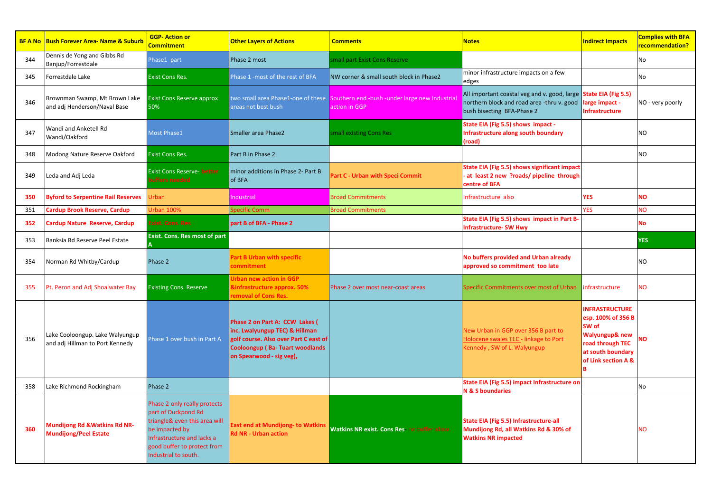|     | <b>BF A No</b> Bush Forever Area- Name & Suburb                    | <b>GGP-Action or</b><br>Commitment                                                                                                                                                          | <b>Other Layers of Actions</b>                                                                                                                                                 | <b>Comments</b>                                                 | <b>Notes</b>                                                                                                             | <b>Indirect Impacts</b>                                                                                                                     | <b>Complies with BFA</b><br>recommendation? |
|-----|--------------------------------------------------------------------|---------------------------------------------------------------------------------------------------------------------------------------------------------------------------------------------|--------------------------------------------------------------------------------------------------------------------------------------------------------------------------------|-----------------------------------------------------------------|--------------------------------------------------------------------------------------------------------------------------|---------------------------------------------------------------------------------------------------------------------------------------------|---------------------------------------------|
| 344 | Dennis de Yong and Gibbs Rd<br>Banjup/Forrestdale                  | Phase1 part                                                                                                                                                                                 | Phase 2 most                                                                                                                                                                   | mall part Exist Cons Reserve                                    |                                                                                                                          |                                                                                                                                             | No                                          |
| 345 | Forrestdale Lake                                                   | <b>Exist Cons Res.</b>                                                                                                                                                                      | Phase 1 -most of the rest of BFA                                                                                                                                               | NW corner & small south block in Phase2                         | minor infrastructure impacts on a few<br>edges                                                                           |                                                                                                                                             | No                                          |
| 346 | Brownman Swamp, Mt Brown Lake<br>and adj Henderson/Naval Base      | <b>Exist Cons Reserve approx</b><br>50%                                                                                                                                                     | two small area Phase1-one of these<br>areas not best bush                                                                                                                      | Southern end -bush -under large new Industrial<br>action in GGP | All important coastal veg and v. good, large<br>northern block and road area -thru v. good<br>bush bisecting BFA-Phase 2 | State EIA (Fig 5.5)<br>arge impact -<br><b>Infrastructure</b>                                                                               | NO - very poorly                            |
| 347 | Wandi and Anketell Rd<br>Wandi/Oakford                             | <b>Most Phase1</b>                                                                                                                                                                          | <b>Smaller area Phase2</b>                                                                                                                                                     | mall existing Cons Res                                          | State EIA (Fig 5.5) shows impact -<br>Infrastructure along south boundary<br>(road)                                      |                                                                                                                                             | N <sub>O</sub>                              |
| 348 | Modong Nature Reserve Oakford                                      | <b>Exist Cons Res.</b>                                                                                                                                                                      | Part B in Phase 2                                                                                                                                                              |                                                                 |                                                                                                                          |                                                                                                                                             | <b>NO</b>                                   |
| 349 | Leda and Adj Leda                                                  | <b>Exist Cons Reserve- better</b><br>uffers needed                                                                                                                                          | minor additions in Phase 2- Part B<br>of BFA                                                                                                                                   | Part C - Urban with Speci Commit                                | State EIA (Fig 5.5) shows significant impact<br>at least 2 new ?roads/ pipeline through<br>centre of BFA                 |                                                                                                                                             |                                             |
| 350 | <b>Byford to Serpentine Rail Reserves</b>                          | <b>Jrban</b>                                                                                                                                                                                | ndustrial                                                                                                                                                                      | <b>Broad Commitments</b>                                        | Infrastructure also                                                                                                      | <b>YES</b>                                                                                                                                  | <b>NO</b>                                   |
| 351 | Cardup Brook Reserve, Cardup                                       | Jrban 1009                                                                                                                                                                                  | <b>pecific Comm</b>                                                                                                                                                            | <b>Broad Commitments</b>                                        |                                                                                                                          | <b>YES</b>                                                                                                                                  | ÑЙ                                          |
| 352 | Cardup Nature Reserve, Cardup                                      | Exist. Cons. Res                                                                                                                                                                            | part B of BFA - Phase 2                                                                                                                                                        |                                                                 | State EIA (Fig 5.5) shows impact in Part B-<br><b>Infrastructure- SW Hwy</b>                                             |                                                                                                                                             | Νo                                          |
| 353 | Banksia Rd Reserve Peel Estate                                     | Exist. Cons. Res most of part                                                                                                                                                               |                                                                                                                                                                                |                                                                 |                                                                                                                          |                                                                                                                                             | <b>ES</b>                                   |
| 354 | Norman Rd Whitby/Cardup                                            | Phase 2                                                                                                                                                                                     | Part B Urban with specific<br>ommitment                                                                                                                                        |                                                                 | No buffers provided and Urban already<br>approved so commitment too late                                                 |                                                                                                                                             | N <sub>O</sub>                              |
| 355 | Pt. Peron and Adj Shoalwater Bay                                   | <b>Existing Cons. Reserve</b>                                                                                                                                                               | <b>Urban new action in GGP</b><br><b>Sinfrastructure approx. 50%</b><br>emoval of Cons Res.                                                                                    | Phase 2 over most near-coast areas                              | Specific Commitments over most of Urban                                                                                  | infrastructure                                                                                                                              | NΟ                                          |
| 356 | Lake Cooloongup. Lake Walyungup<br>and adj Hillman to Port Kennedy | Phase 1 over bush in Part A                                                                                                                                                                 | Phase 2 on Part A: CCW Lakes (<br>inc. Lwalyungup TEC) & Hillman<br>golf course. Also over Part C east of<br><b>Cooloongup (Ba-Tuart woodlands</b><br>on Spearwood - sig veg), |                                                                 | New Urban in GGP over 356 B part to<br>Holocene swales TEC - linkage to Port<br>Kennedy, SW of L. Walyungup              | <b>INFRASTRUCTURE</b><br>esp. 100% of 356 B<br>SW of<br>Walyungup& new<br>road through TEC<br>at south boundary<br>of Link section A &<br>R | NΟ                                          |
| 358 | Lake Richmond Rockingham                                           | Phase 2                                                                                                                                                                                     |                                                                                                                                                                                |                                                                 | State EIA (Fig 5.5) impact Infrastructure on<br>N & S boundaries                                                         |                                                                                                                                             | No                                          |
| 360 | Mundijong Rd & Watkins Rd NR-<br><b>Mundijong/Peel Estate</b>      | Phase 2-only really protects<br>part of Duckpond Rd<br>triangle& even this area will<br>be impacted by<br>Infrastructure and lacks a<br>good buffer to protect from<br>Industrial to south. | East end at Mundijong- to Watkins<br><b>Rd NR - Urban action</b>                                                                                                               | Watkins NR exist. Cons Res no buffer allow.                     | State EIA (Fig 5.5) Infrastructure-all<br>Mundijong Rd, all Watkins Rd & 30% of<br><b>Watkins NR impacted</b>            |                                                                                                                                             | <b>NO</b>                                   |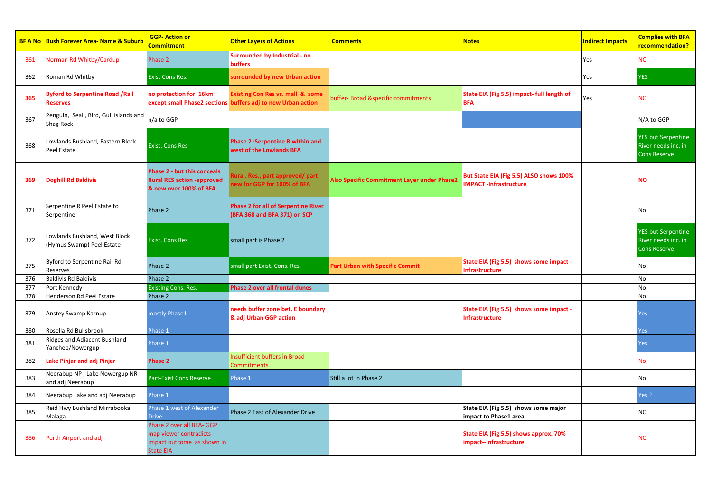|     | <b>BF A No Bush Forever Area- Name &amp; Suburb</b>        | <b>GGP-Action or</b><br>Commitment                                                                | <b>Other Layers of Actions</b>                                                                              | <b>Comments</b>                             | <b>Notes</b>                                                            | <b>Indirect Impacts</b> | <b>Complies with BFA</b><br>recommendation?                             |
|-----|------------------------------------------------------------|---------------------------------------------------------------------------------------------------|-------------------------------------------------------------------------------------------------------------|---------------------------------------------|-------------------------------------------------------------------------|-------------------------|-------------------------------------------------------------------------|
| 361 | Norman Rd Whitby/Cardup                                    | Phase 2                                                                                           | <b>Surrounded by Industrial - no</b><br>buffers                                                             |                                             |                                                                         | Yes                     | <b>NO</b>                                                               |
| 362 | Roman Rd Whitby                                            | <b>Exist Cons Res.</b>                                                                            | surrounded by new Urban action                                                                              |                                             |                                                                         | Yes                     | <b>YES</b>                                                              |
| 365 | <b>Byford to Serpentine Road /Rail</b><br><b>Reserves</b>  | no protection for 16km                                                                            | <b>Existing Con Res vs. mall &amp; some</b><br>except small Phase2 sections buffers adj to new Urban action | buffer- Broad &specific commitments         | State EIA (Fig 5.5) impact- full length of<br><b>BFA</b>                | Yes                     | <b>NO</b>                                                               |
| 367 | Penguin, Seal, Bird, Gull Islands and<br>Shag Rock         | n/a to GGP                                                                                        |                                                                                                             |                                             |                                                                         |                         | N/A to GGP                                                              |
| 368 | Lowlands Bushland, Eastern Block<br>Peel Estate            | <b>Exist. Cons Res</b>                                                                            | <b>Phase 2:Serpentine R within and</b><br>west of the Lowlands BFA                                          |                                             |                                                                         |                         | <b>YES but Serpentine</b><br>River needs inc. in<br><b>Cons Reserve</b> |
| 369 | <b>Doghill Rd Baldivis</b>                                 | <b>Phase 2 - but this conceals</b><br><b>Rural RES action -approved</b><br>& new over 100% of BFA | <b>Rural. Res., part approved/ part</b><br>ew for GGP for 100% of BFA                                       | Also Specific Commitment Layer under Phase2 | But State EIA (Fig 5.5) ALSO shows 100%<br><b>IMPACT-Infrastructure</b> |                         | NΟ                                                                      |
| 371 | Serpentine R Peel Estate to<br>Serpentine                  | Phase 2                                                                                           | <b>Phase 2 for all of Serpentine River</b><br>(BFA 368 and BFA 371) on SCP                                  |                                             |                                                                         |                         | No                                                                      |
| 372 | Lowlands Bushland, West Block<br>(Hymus Swamp) Peel Estate | <b>Exist. Cons Res</b>                                                                            | small part is Phase 2                                                                                       |                                             |                                                                         |                         | <b>YES but Serpentine</b><br>River needs inc. in<br><b>Cons Reserve</b> |
| 375 | Byford to Serpentine Rail Rd<br>Reserves                   | Phase 2                                                                                           | small part Exist. Cons. Res.                                                                                | <b>Part Urban with Specific Commit</b>      | State EIA (Fig 5.5) shows some impact -<br><b>Infrastructure</b>        |                         | No                                                                      |
| 376 | <b>Baldivis Rd Baldivis</b>                                | Phase 2                                                                                           |                                                                                                             |                                             |                                                                         |                         | No                                                                      |
| 377 | Port Kennedy                                               | <b>Existing Cons. Res.</b>                                                                        | Phase 2 over all frontal dunes                                                                              |                                             |                                                                         |                         | No                                                                      |
| 378 | Henderson Rd Peel Estate                                   | Phase 2                                                                                           |                                                                                                             |                                             |                                                                         |                         | No                                                                      |
| 379 | Anstey Swamp Karnup                                        | mostly Phase1                                                                                     | needs buffer zone bet. E boundary<br>& adj Urban GGP action                                                 |                                             | State EIA (Fig 5.5) shows some impact -<br>Infrastructure               |                         | Yes                                                                     |
| 380 | Rosella Rd Bullsbrook                                      | Phase 1                                                                                           |                                                                                                             |                                             |                                                                         |                         | Yes                                                                     |
| 381 | Ridges and Adjacent Bushland<br>Yanchep/Nowergup           | Phase 1                                                                                           |                                                                                                             |                                             |                                                                         |                         | Yes                                                                     |
| 382 | Lake Pinjar and adj Pinjar                                 | Phase 2                                                                                           | Insufficient buffers in Broad<br><b>Commitments</b>                                                         |                                             |                                                                         |                         | N٥                                                                      |
| 383 | Neerabup NP, Lake Nowergup NR<br>and adj Neerabup          | Part-Exist Cons Reserve                                                                           | Phase 1                                                                                                     | Still a lot in Phase 2                      |                                                                         |                         | No                                                                      |
| 384 | Neerabup Lake and adj Neerabup                             | Phase 1                                                                                           |                                                                                                             |                                             |                                                                         |                         | $res$ ?                                                                 |
| 385 | Reid Hwy Bushland Mirrabooka<br>Malaga                     | Phase 1 west of Alexander<br><b>Drive</b>                                                         | Phase 2 East of Alexander Drive                                                                             |                                             | State EIA (Fig 5.5) shows some major<br>impact to Phase1 area           |                         | ΝO                                                                      |
| 386 | Perth Airport and adj                                      | Phase 2 over all BFA- GGP<br>map viewer contradicts<br>impact outcome as shown in<br>State EIA    |                                                                                                             |                                             | State EIA (Fig 5.5) shows approx. 70%<br>impact--Infrastructure         |                         | <b>NO</b>                                                               |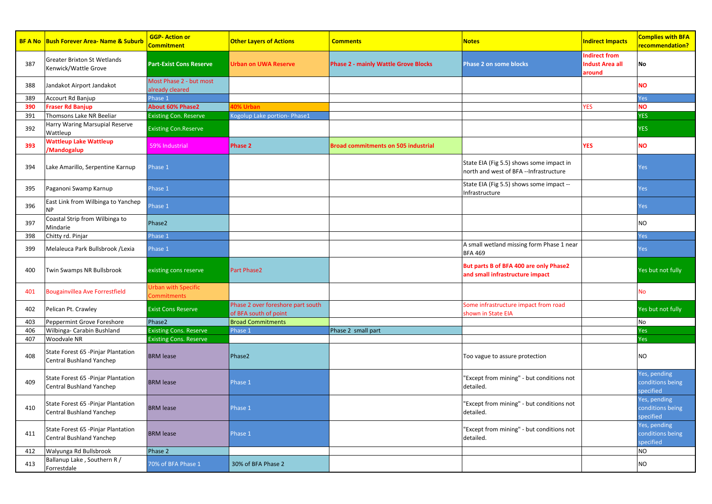|     | <b>BF A No Bush Forever Area- Name &amp; Suburb</b>             | <b>GGP-Action or</b><br>Commitment        | <b>Other Layers of Actions</b>                             | <b>Comments</b>                             | <b>Notes</b>                                                                       | <b>Indirect Impacts</b>                                  | <b>Complies with BFA</b><br><mark>recommendation?</mark> |
|-----|-----------------------------------------------------------------|-------------------------------------------|------------------------------------------------------------|---------------------------------------------|------------------------------------------------------------------------------------|----------------------------------------------------------|----------------------------------------------------------|
| 387 | Greater Brixton St Wetlands<br>Kenwick/Wattle Grove             | <b>Part-Exist Cons Reserve</b>            | Urban on UWA Reserve                                       | <b>Phase 2 - mainly Wattle Grove Blocks</b> | <b>Phase 2 on some blocks</b>                                                      | <b>Indirect from</b><br><b>Indust Area all</b><br>around | No                                                       |
| 388 | Jandakot Airport Jandakot                                       | Most Phase 2 - but most<br>Iready cleared |                                                            |                                             |                                                                                    |                                                          | <b>NO</b>                                                |
| 389 | Accourt Rd Banjup                                               | hase 1                                    |                                                            |                                             |                                                                                    |                                                          | Yes                                                      |
| 390 | <b>Fraser Rd Banjup</b>                                         | <b>About 60% Phase2</b>                   | 0% Urbar                                                   |                                             |                                                                                    | <b>YES</b>                                               | <b>NO</b>                                                |
| 391 | Thomsons Lake NR Beeliar                                        | <b>Existing Con. Reserve</b>              | Kogolup Lake portion- Phase1                               |                                             |                                                                                    |                                                          | <b>YES</b>                                               |
| 392 | Harry Waring Marsupial Reserve<br>Wattleup                      | <b>Existing Con.Reserve</b>               |                                                            |                                             |                                                                                    |                                                          | <b>YES</b>                                               |
| 393 | <b>Wattleup Lake Wattleup</b><br>/Mandogalup                    | 59% Industrial                            | Phase 2                                                    | <b>Broad commitments on 505 industrial</b>  |                                                                                    | <b>YES</b>                                               | <b>NO</b>                                                |
| 394 | Lake Amarillo, Serpentine Karnup                                | hase 1                                    |                                                            |                                             | State EIA (Fig 5.5) shows some impact in<br>north and west of BFA --Infrastructure |                                                          | Yes                                                      |
| 395 | Paganoni Swamp Karnup                                           | Phase 1                                   |                                                            |                                             | State EIA (Fig 5.5) shows some impact --<br>Infrastructure                         |                                                          | Yes                                                      |
| 396 | East Link from Wilbinga to Yanchep<br>NР                        | hase 1                                    |                                                            |                                             |                                                                                    |                                                          | Yes                                                      |
| 397 | Coastal Strip from Wilbinga to<br>Mindarie                      | Phase2                                    |                                                            |                                             |                                                                                    |                                                          | <b>NO</b>                                                |
| 398 | Chitty rd. Pinjar                                               | Phase 1                                   |                                                            |                                             |                                                                                    |                                                          | Yes                                                      |
| 399 | Melaleuca Park Bullsbrook /Lexia                                | hase 1                                    |                                                            |                                             | A small wetland missing form Phase 1 near<br><b>BFA 469</b>                        |                                                          | Yes                                                      |
| 400 | Twin Swamps NR Bullsbrook                                       | existing cons reserve                     | Part Phase2                                                |                                             | But parts B of BFA 400 are only Phase2<br>and small infrastructure impact          |                                                          | Yes but not fully                                        |
| 401 | <b>Bougainvillea Ave Forrestfield</b>                           | Jrban with Specific<br>Commitments        |                                                            |                                             |                                                                                    |                                                          | No                                                       |
| 402 | Pelican Pt. Crawley                                             | <b>Exist Cons Reserve</b>                 | Phase 2 over foreshore part south<br>of BFA south of point |                                             | Some infrastructure impact from road<br>shown in State EIA                         |                                                          | Yes but not fully                                        |
| 403 | Peppermint Grove Foreshore                                      | Phase2                                    | <b>Broad Commitments</b>                                   |                                             |                                                                                    |                                                          | No                                                       |
| 406 | Wilbinga- Carabin Bushland                                      | <b>Existing Cons. Reserve</b>             | Phase 1                                                    | Phase 2 small part                          |                                                                                    |                                                          | Yes                                                      |
| 407 | Woodvale NR                                                     | <b>Existing Cons. Reserve</b>             |                                                            |                                             |                                                                                    |                                                          | Yes                                                      |
| 408 | State Forest 65 - Pinjar Plantation<br>Central Bushland Yanchep | <b>BRM lease</b>                          | Phase2                                                     |                                             | Too vague to assure protection                                                     |                                                          | <b>NO</b>                                                |
| 409 | State Forest 65 -Pinjar Plantation<br>Central Bushland Yanchep  | <b>BRM</b> lease                          | Phase 1                                                    |                                             | "Except from mining" - but conditions not<br>detailed.                             |                                                          | Yes, pending<br>conditions being<br>specified            |
| 410 | State Forest 65 - Pinjar Plantation<br>Central Bushland Yanchep | <b>BRM</b> lease                          | Phase 1                                                    |                                             | 'Except from mining" - but conditions not<br>detailed.                             |                                                          | Yes, pending<br>conditions being<br>specified            |
| 411 | State Forest 65 - Pinjar Plantation<br>Central Bushland Yanchep | <b>BRM lease</b>                          | Phase 1                                                    |                                             | "Except from mining" - but conditions not<br>detailed.                             |                                                          | Yes, pending<br>conditions being<br>specified            |
| 412 | Walyunga Rd Bullsbrook                                          | Phase 2                                   |                                                            |                                             |                                                                                    |                                                          | <b>NO</b>                                                |
| 413 | Ballanup Lake, Southern R /<br>Forrestdale                      | 70% of BFA Phase 1                        | 30% of BFA Phase 2                                         |                                             |                                                                                    |                                                          | <b>NO</b>                                                |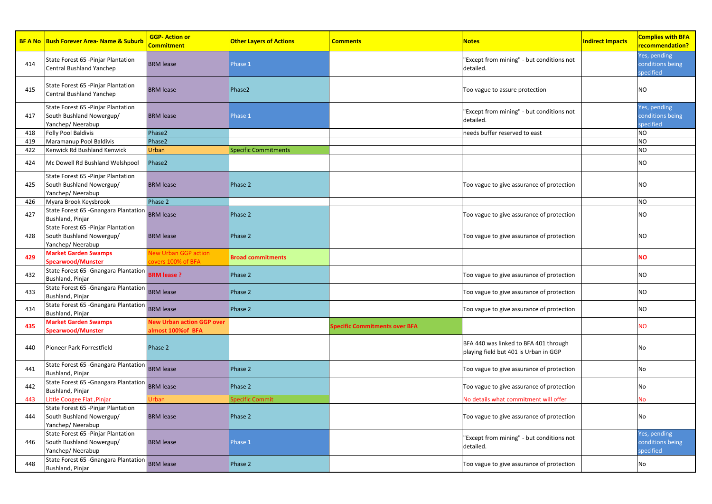|     | <b>BF A No Bush Forever Area- Name &amp; Suburb</b>                                 | <b>GGP-Action or</b><br>Commitment                    | <b>Other Layers of Actions</b> | <b>Comments</b>                      | <b>Notes</b>                                                                   | <b>Indirect Impacts</b> | <b>Complies with BFA</b><br>recommendation?   |
|-----|-------------------------------------------------------------------------------------|-------------------------------------------------------|--------------------------------|--------------------------------------|--------------------------------------------------------------------------------|-------------------------|-----------------------------------------------|
| 414 | State Forest 65 - Pinjar Plantation<br>Central Bushland Yanchep                     | <b>BRM</b> lease                                      | Phase 1                        |                                      | "Except from mining" - but conditions not<br>detailed.                         |                         | Yes, pending<br>conditions being<br>specified |
| 415 | State Forest 65 - Pinjar Plantation<br>Central Bushland Yanchep                     | <b>BRM</b> lease                                      | Phase <sub>2</sub>             |                                      | Too vague to assure protection                                                 |                         | NO.                                           |
| 417 | State Forest 65 - Pinjar Plantation<br>South Bushland Nowergup/<br>Yanchep/Neerabup | <b>BRM</b> lease                                      | Phase 1                        |                                      | "Except from mining" - but conditions not<br>detailed.                         |                         | Yes, pending<br>conditions being<br>specified |
| 418 | <b>Folly Pool Baldivis</b>                                                          | Phase2                                                |                                |                                      | needs buffer reserved to east                                                  |                         | <b>NO</b>                                     |
| 419 | Maramanup Pool Baldivis                                                             | Phase2                                                |                                |                                      |                                                                                |                         | <b>NO</b>                                     |
| 422 | Kenwick Rd Bushland Kenwick                                                         | Urban                                                 | <b>Specific Commitments</b>    |                                      |                                                                                |                         | <b>NO</b>                                     |
| 424 | Mc Dowell Rd Bushland Welshpool                                                     | Phase2                                                |                                |                                      |                                                                                |                         | NO.                                           |
| 425 | State Forest 65 - Pinjar Plantation<br>South Bushland Nowergup/<br>Yanchep/Neerabup | <b>BRM</b> lease                                      | Phase 2                        |                                      | Too vague to give assurance of protection                                      |                         | NO.                                           |
| 426 | Myara Brook Keysbrook                                                               | Phase 2                                               |                                |                                      |                                                                                |                         | NO                                            |
| 427 | State Forest 65 - Gnangara Plantation<br><b>Bushland, Pinjar</b>                    | <b>BRM</b> lease                                      | Phase 2                        |                                      | Too vague to give assurance of protection                                      |                         | ΝO                                            |
| 428 | State Forest 65 - Pinjar Plantation<br>South Bushland Nowergup/<br>Yanchep/Neerabup | <b>BRM</b> lease                                      | Phase 2                        |                                      | Too vague to give assurance of protection                                      |                         | NO                                            |
| 429 | <b>Market Garden Swamps</b><br>Spearwood/Munster                                    | <b>Vew Urban GGP action</b><br>overs 100% of BFA      | <b>Broad commitments</b>       |                                      |                                                                                |                         | ٧О                                            |
| 432 | State Forest 65 - Gnangara Plantation<br>Bushland, Pinjar                           | <b>BRM lease?</b>                                     | Phase 2                        |                                      | Too vague to give assurance of protection                                      |                         | NO.                                           |
| 433 | State Forest 65 - Gnangara Plantation<br>Bushland, Pinjar                           | <b>BRM</b> lease                                      | Phase 2                        |                                      | Too vague to give assurance of protection                                      |                         | NO                                            |
| 434 | State Forest 65 - Gnangara Plantation<br>Bushland, Pinjar                           | <b>BRM</b> lease                                      | Phase 2                        |                                      | Too vague to give assurance of protection                                      |                         | NO.                                           |
| 435 | <b>Market Garden Swamps</b><br>Spearwood/Munster                                    | <b>New Urban action GGP over</b><br>almost 100%of BFA |                                | <b>Specific Commitments over BFA</b> |                                                                                |                         | ٧О                                            |
| 440 | Pioneer Park Forrestfield                                                           | Phase 2                                               |                                |                                      | BFA 440 was linked to BFA 401 through<br>playing field but 401 is Urban in GGP |                         | No                                            |
| 441 | State Forest 65 - Gnangara Plantation<br>Bushland, Pinjar                           | <b>BRM</b> lease                                      | Phase 2                        |                                      | Too vague to give assurance of protection                                      |                         | No                                            |
| 442 | State Forest 65 - Gnangara Plantation BRM lease<br>Bushland, Pinjar                 |                                                       | Phase 2                        |                                      | Too vague to give assurance of protection                                      |                         | No                                            |
| 443 | Little Coogee Flat ,Pinjar                                                          | Jrban                                                 | pecific Commit                 |                                      | No details what commitment will offer                                          |                         | N٥                                            |
| 444 | State Forest 65 - Pinjar Plantation<br>South Bushland Nowergup/<br>Yanchep/Neerabup | <b>BRM</b> lease                                      | Phase 2                        |                                      | Too vague to give assurance of protection                                      |                         | No                                            |
| 446 | State Forest 65 - Pinjar Plantation<br>South Bushland Nowergup/<br>Yanchep/Neerabup | <b>BRM</b> lease                                      | Phase 1                        |                                      | "Except from mining" - but conditions not<br>detailed.                         |                         | Yes, pending<br>conditions being<br>specified |
| 448 | State Forest 65 - Gnangara Plantation<br>Bushland, Pinjar                           | <b>BRM</b> lease                                      | Phase 2                        |                                      | Too vague to give assurance of protection                                      |                         | No                                            |